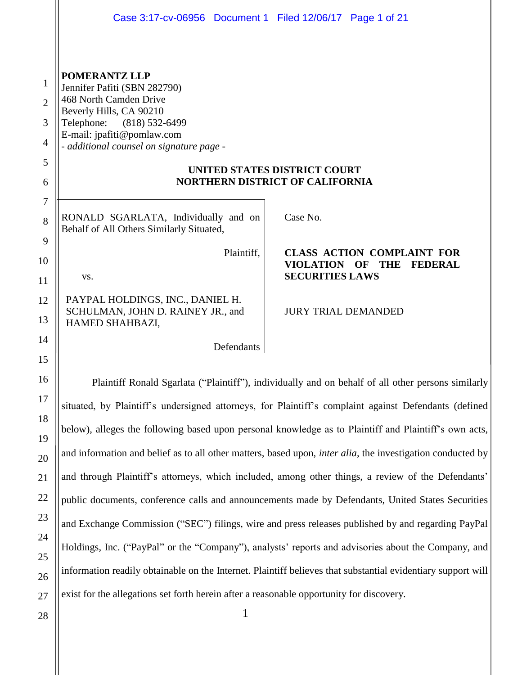|                                         | Case 3:17-cv-06956 Document 1 Filed 12/06/17 Page 1 of 21                                                                                                                                                                                                                                              |                                                                                                    |  |
|-----------------------------------------|--------------------------------------------------------------------------------------------------------------------------------------------------------------------------------------------------------------------------------------------------------------------------------------------------------|----------------------------------------------------------------------------------------------------|--|
| 1<br>$\overline{2}$<br>3<br>4<br>5<br>6 | <b>POMERANTZ LLP</b><br>Jennifer Pafiti (SBN 282790)<br>468 North Camden Drive<br>Beverly Hills, CA 90210<br>Telephone:<br>$(818)$ 532-6499<br>E-mail: jpafiti@pomlaw.com<br>- additional counsel on signature page -<br><b>UNITED STATES DISTRICT COURT</b><br><b>NORTHERN DISTRICT OF CALIFORNIA</b> |                                                                                                    |  |
| 7<br>8                                  | RONALD SGARLATA, Individually and on<br>Behalf of All Others Similarly Situated,                                                                                                                                                                                                                       | Case No.                                                                                           |  |
| 9<br>10<br>11                           | Plaintiff,<br>VS.                                                                                                                                                                                                                                                                                      | <b>CLASS ACTION COMPLAINT FOR</b><br>VIOLATION OF THE<br><b>FEDERAL</b><br><b>SECURITIES LAWS</b>  |  |
| 12<br>13                                | PAYPAL HOLDINGS, INC., DANIEL H.<br>SCHULMAN, JOHN D. RAINEY JR., and<br>HAMED SHAHBAZI,                                                                                                                                                                                                               | <b>JURY TRIAL DEMANDED</b>                                                                         |  |
| 14                                      | Defendants                                                                                                                                                                                                                                                                                             |                                                                                                    |  |
| 15                                      |                                                                                                                                                                                                                                                                                                        |                                                                                                    |  |
| 16                                      | Plaintiff Ronald Sgarlata ("Plaintiff"), individually and on behalf of all other persons similarly                                                                                                                                                                                                     |                                                                                                    |  |
| 17                                      | situated, by Plaintiff's undersigned attorneys, for Plaintiff's complaint against Defendants (defined                                                                                                                                                                                                  |                                                                                                    |  |
| 18                                      | below), alleges the following based upon personal knowledge as to Plaintiff and Plaintiff's own acts,                                                                                                                                                                                                  |                                                                                                    |  |
| 19                                      | and information and belief as to all other matters, based upon, <i>inter alia</i> , the investigation conducted by                                                                                                                                                                                     |                                                                                                    |  |
| 20                                      |                                                                                                                                                                                                                                                                                                        |                                                                                                    |  |
| 21                                      | and through Plaintiff's attorneys, which included, among other things, a review of the Defendants'                                                                                                                                                                                                     |                                                                                                    |  |
| 22<br>23                                | public documents, conference calls and announcements made by Defendants, United States Securities                                                                                                                                                                                                      |                                                                                                    |  |
| 24                                      |                                                                                                                                                                                                                                                                                                        | and Exchange Commission ("SEC") filings, wire and press releases published by and regarding PayPal |  |
| 25                                      | Holdings, Inc. ("PayPal" or the "Company"), analysts' reports and advisories about the Company, and                                                                                                                                                                                                    |                                                                                                    |  |
| 26                                      | information readily obtainable on the Internet. Plaintiff believes that substantial evidentiary support will                                                                                                                                                                                           |                                                                                                    |  |
| 27                                      | exist for the allegations set forth herein after a reasonable opportunity for discovery.                                                                                                                                                                                                               |                                                                                                    |  |

1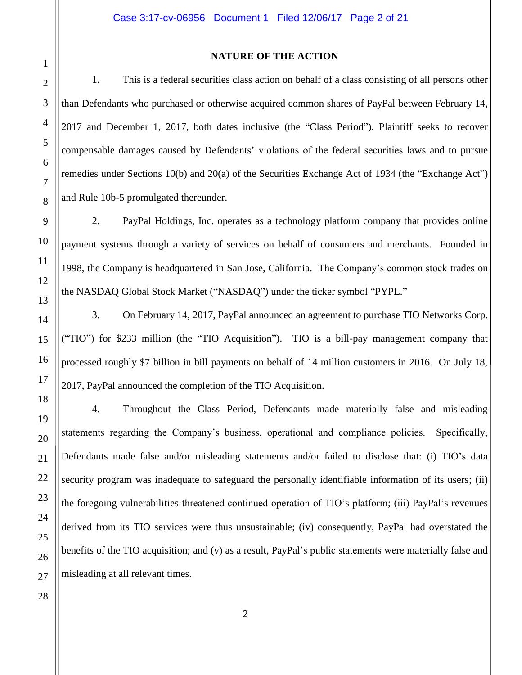#### **NATURE OF THE ACTION**

1. This is a federal securities class action on behalf of a class consisting of all persons other than Defendants who purchased or otherwise acquired common shares of PayPal between February 14, 2017 and December 1, 2017, both dates inclusive (the "Class Period"). Plaintiff seeks to recover compensable damages caused by Defendants' violations of the federal securities laws and to pursue remedies under Sections 10(b) and 20(a) of the Securities Exchange Act of 1934 (the "Exchange Act") and Rule 10b-5 promulgated thereunder.

2. PayPal Holdings, Inc. operates as a technology platform company that provides online payment systems through a variety of services on behalf of consumers and merchants. Founded in 1998, the Company is headquartered in San Jose, California. The Company's common stock trades on the NASDAQ Global Stock Market ("NASDAQ") under the ticker symbol "PYPL."

3. On February 14, 2017, PayPal announced an agreement to purchase TIO Networks Corp. ("TIO") for \$233 million (the "TIO Acquisition"). TIO is a bill-pay management company that processed roughly \$7 billion in bill payments on behalf of 14 million customers in 2016. On July 18, 2017, PayPal announced the completion of the TIO Acquisition.

4. Throughout the Class Period, Defendants made materially false and misleading statements regarding the Company's business, operational and compliance policies. Specifically, Defendants made false and/or misleading statements and/or failed to disclose that: (i) TIO's data security program was inadequate to safeguard the personally identifiable information of its users; (ii) the foregoing vulnerabilities threatened continued operation of TIO's platform; (iii) PayPal's revenues derived from its TIO services were thus unsustainable; (iv) consequently, PayPal had overstated the benefits of the TIO acquisition; and (v) as a result, PayPal's public statements were materially false and misleading at all relevant times.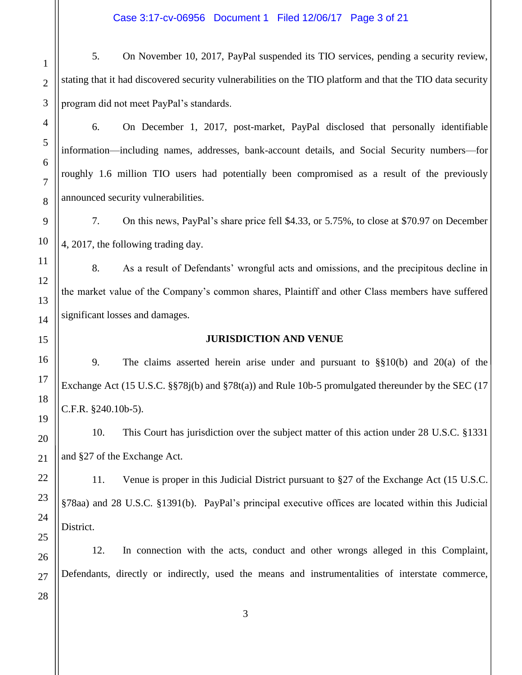5. On November 10, 2017, PayPal suspended its TIO services, pending a security review, stating that it had discovered security vulnerabilities on the TIO platform and that the TIO data security program did not meet PayPal's standards.

6. On December 1, 2017, post-market, PayPal disclosed that personally identifiable information—including names, addresses, bank-account details, and Social Security numbers—for roughly 1.6 million TIO users had potentially been compromised as a result of the previously announced security vulnerabilities.

7. On this news, PayPal's share price fell \$4.33, or 5.75%, to close at \$70.97 on December 4, 2017, the following trading day.

8. As a result of Defendants' wrongful acts and omissions, and the precipitous decline in the market value of the Company's common shares, Plaintiff and other Class members have suffered significant losses and damages.

#### **JURISDICTION AND VENUE**

9. The claims asserted herein arise under and pursuant to §§10(b) and 20(a) of the Exchange Act (15 U.S.C. §§78j(b) and §78t(a)) and Rule 10b-5 promulgated thereunder by the SEC (17 C.F.R. §240.10b-5).

10. This Court has jurisdiction over the subject matter of this action under 28 U.S.C. §1331 and §27 of the Exchange Act.

11. Venue is proper in this Judicial District pursuant to §27 of the Exchange Act (15 U.S.C. §78aa) and 28 U.S.C. §1391(b). PayPal's principal executive offices are located within this Judicial District.

12. In connection with the acts, conduct and other wrongs alleged in this Complaint, Defendants, directly or indirectly, used the means and instrumentalities of interstate commerce,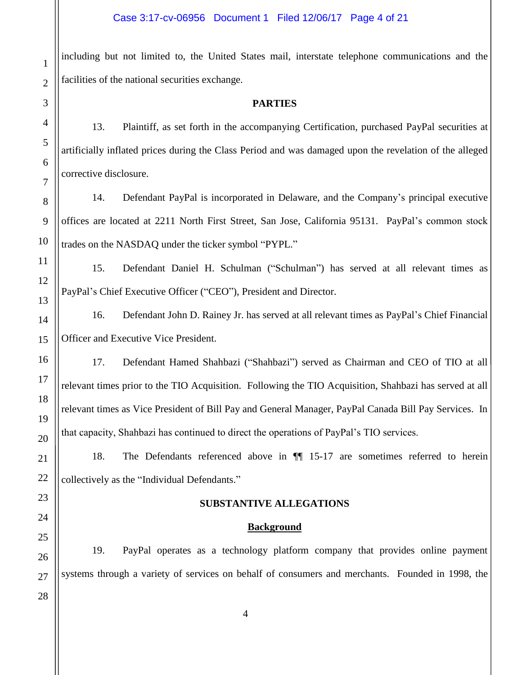including but not limited to, the United States mail, interstate telephone communications and the facilities of the national securities exchange.

#### **PARTIES**

13. Plaintiff, as set forth in the accompanying Certification, purchased PayPal securities at artificially inflated prices during the Class Period and was damaged upon the revelation of the alleged corrective disclosure.

14. Defendant PayPal is incorporated in Delaware, and the Company's principal executive offices are located at 2211 North First Street, San Jose, California 95131. PayPal's common stock trades on the NASDAQ under the ticker symbol "PYPL."

15. Defendant Daniel H. Schulman ("Schulman") has served at all relevant times as PayPal's Chief Executive Officer ("CEO"), President and Director.

16. Defendant John D. Rainey Jr. has served at all relevant times as PayPal's Chief Financial Officer and Executive Vice President.

17. Defendant Hamed Shahbazi ("Shahbazi") served as Chairman and CEO of TIO at all relevant times prior to the TIO Acquisition. Following the TIO Acquisition, Shahbazi has served at all relevant times as Vice President of Bill Pay and General Manager, PayPal Canada Bill Pay Services. In that capacity, Shahbazi has continued to direct the operations of PayPal's TIO services.

18. The Defendants referenced above in ¶¶ 15-17 are sometimes referred to herein collectively as the "Individual Defendants."

#### **SUBSTANTIVE ALLEGATIONS**

#### **Background**

19. PayPal operates as a technology platform company that provides online payment systems through a variety of services on behalf of consumers and merchants. Founded in 1998, the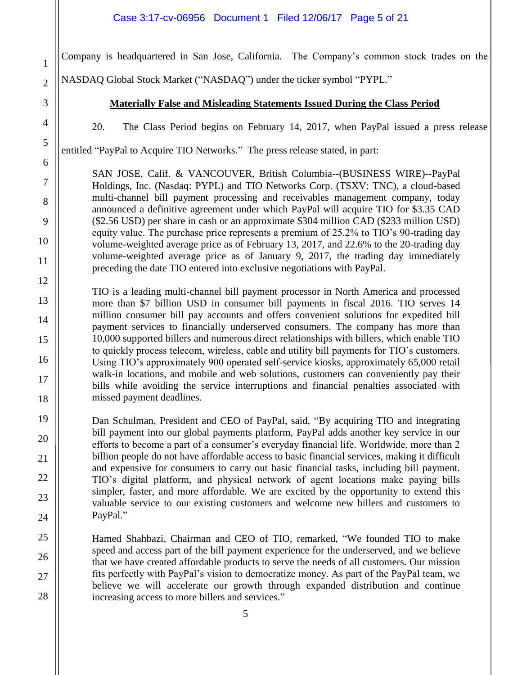Company is headquartered in San Jose, California. The Company's common stock trades on the

NASDAQ Global Stock Market ("NASDAQ") under the ticker symbol "PYPL."

#### **Materially False and Misleading Statements Issued During the Class Period**

20. The Class Period begins on February 14, 2017, when PayPal issued a press release

entitled "PayPal to Acquire TIO Networks." The press release stated, in part:

SAN JOSE, Calif. & VANCOUVER, British Columbia--(BUSINESS WIRE)--PayPal Holdings, Inc. (Nasdaq: PYPL) and TIO Networks Corp. (TSXV: TNC), a cloud-based multi-channel bill payment processing and receivables management company, today announced a definitive agreement under which PayPal will acquire TIO for \$3.35 CAD (\$2.56 USD) per share in cash or an approximate \$304 million CAD (\$233 million USD) equity value. The purchase price represents a premium of 25.2% to TIO's 90-trading day volume-weighted average price as of February 13, 2017, and 22.6% to the 20-trading day volume-weighted average price as of January 9, 2017, the trading day immediately preceding the date TIO entered into exclusive negotiations with PayPal.

TIO is a leading multi-channel bill payment processor in North America and processed more than \$7 billion USD in consumer bill payments in fiscal 2016. TIO serves 14 million consumer bill pay accounts and offers convenient solutions for expedited bill payment services to financially underserved consumers. The company has more than 10,000 supported billers and numerous direct relationships with billers, which enable TIO to quickly process telecom, wireless, cable and utility bill payments for TIO's customers. Using TIO's approximately 900 operated self-service kiosks, approximately 65,000 retail walk-in locations, and mobile and web solutions, customers can conveniently pay their bills while avoiding the service interruptions and financial penalties associated with missed payment deadlines.

Dan Schulman, President and CEO of PayPal, said, "By acquiring TIO and integrating bill payment into our global payments platform, PayPal adds another key service in our efforts to become a part of a consumer's everyday financial life. Worldwide, more than 2 billion people do not have affordable access to basic financial services, making it difficult and expensive for consumers to carry out basic financial tasks, including bill payment. TIO's digital platform, and physical network of agent locations make paying bills simpler, faster, and more affordable. We are excited by the opportunity to extend this valuable service to our existing customers and welcome new billers and customers to PayPal."

Hamed Shahbazi, Chairman and CEO of TIO, remarked, "We founded TIO to make speed and access part of the bill payment experience for the underserved, and we believe that we have created affordable products to serve the needs of all customers. Our mission fits perfectly with PayPal's vision to democratize money. As part of the PayPal team, we believe we will accelerate our growth through expanded distribution and continue increasing access to more billers and services."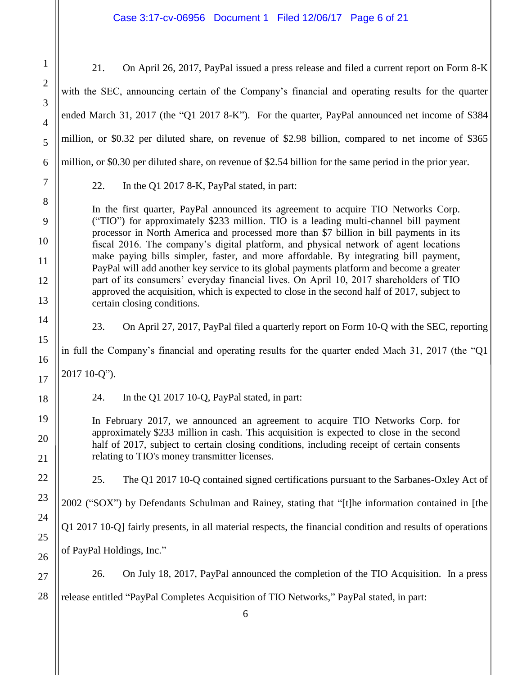Case 3:17-cv-06956 Document 1 Filed 12/06/17 Page 6 of 21

1 2 3 4 5 6 7 8 9 10 11 12 13 14 15 16 17 18 19 20 21 22 23 21. On April 26, 2017, PayPal issued a press release and filed a current report on Form 8-K with the SEC, announcing certain of the Company's financial and operating results for the quarter ended March 31, 2017 (the "Q1 2017 8-K"). For the quarter, PayPal announced net income of \$384 million, or \$0.32 per diluted share, on revenue of \$2.98 billion, compared to net income of \$365 million, or \$0.30 per diluted share, on revenue of \$2.54 billion for the same period in the prior year. 22. In the Q1 2017 8-K, PayPal stated, in part: In the first quarter, PayPal announced its agreement to acquire TIO Networks Corp. ("TIO") for approximately \$233 million. TIO is a leading multi-channel bill payment processor in North America and processed more than \$7 billion in bill payments in its fiscal 2016. The company's digital platform, and physical network of agent locations make paying bills simpler, faster, and more affordable. By integrating bill payment, PayPal will add another key service to its global payments platform and become a greater part of its consumers' everyday financial lives. On April 10, 2017 shareholders of TIO approved the acquisition, which is expected to close in the second half of 2017, subject to certain closing conditions. 23. On April 27, 2017, PayPal filed a quarterly report on Form 10-Q with the SEC, reporting in full the Company's financial and operating results for the quarter ended Mach 31, 2017 (the "Q1 2017 10-Q"). 24. In the Q1 2017 10-Q, PayPal stated, in part: In February 2017, we announced an agreement to acquire TIO Networks Corp. for approximately \$233 million in cash. This acquisition is expected to close in the second half of 2017, subject to certain closing conditions, including receipt of certain consents relating to TIO's money transmitter licenses. 25. The Q1 2017 10-Q contained signed certifications pursuant to the Sarbanes-Oxley Act of 2002 ("SOX") by Defendants Schulman and Rainey, stating that "[t]he information contained in [the Q1 2017 10-Q] fairly presents, in all material respects, the financial condition and results of operations of PayPal Holdings, Inc." 26. On July 18, 2017, PayPal announced the completion of the TIO Acquisition. In a press release entitled "PayPal Completes Acquisition of TIO Networks," PayPal stated, in part: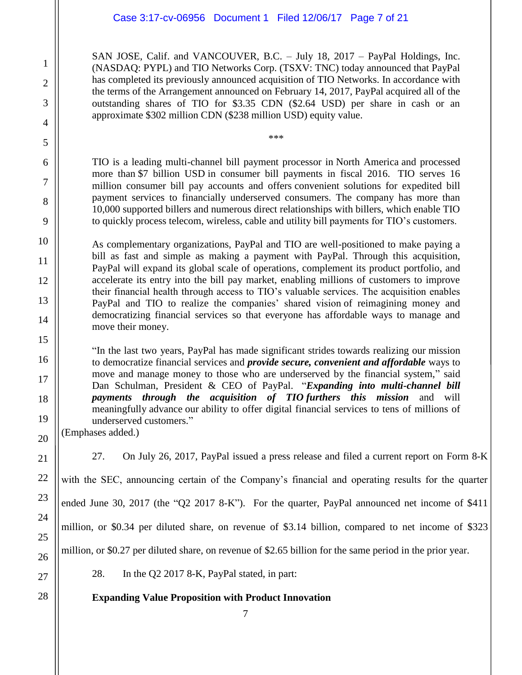#### Case 3:17-cv-06956 Document 1 Filed 12/06/17 Page 7 of 21

SAN JOSE, Calif. and VANCOUVER, B.C. – July 18, 2017 – PayPal Holdings, Inc. (NASDAQ: PYPL) and TIO Networks Corp. (TSXV: TNC) today announced that PayPal has completed its previously announced acquisition of TIO Networks. In accordance with the terms of the Arrangement announced on February 14, 2017, PayPal acquired all of the outstanding shares of TIO for \$3.35 CDN (\$2.64 USD) per share in cash or an approximate \$302 million CDN (\$238 million USD) equity value.

TIO is a leading multi-channel bill payment processor in North America and processed more than \$7 billion USD in consumer bill payments in fiscal 2016. TIO serves 16 million consumer bill pay accounts and offers convenient solutions for expedited bill payment services to financially underserved consumers. The company has more than 10,000 supported billers and numerous direct relationships with billers, which enable TIO to quickly process telecom, wireless, cable and utility bill payments for TIO's customers.

\*\*\*

As complementary organizations, PayPal and TIO are well-positioned to make paying a bill as fast and simple as making a payment with PayPal. Through this acquisition, PayPal will expand its global scale of operations, complement its product portfolio, and accelerate its entry into the bill pay market, enabling millions of customers to improve their financial health through access to TIO's valuable services. The acquisition enables PayPal and TIO to realize the companies' shared vision of reimagining money and democratizing financial services so that everyone has affordable ways to manage and move their money.

"In the last two years, PayPal has made significant strides towards realizing our mission to democratize financial services and *provide secure, convenient and affordable* ways to move and manage money to those who are underserved by the financial system," said Dan Schulman, President & CEO of PayPal. "*Expanding into multi-channel bill payments through the acquisition of TIO furthers this mission* and will meaningfully advance our ability to offer digital financial services to tens of millions of underserved customers."

(Emphases added.)

27. On July 26, 2017, PayPal issued a press release and filed a current report on Form 8-K

with the SEC, announcing certain of the Company's financial and operating results for the quarter

ended June 30, 2017 (the "Q2 2017 8-K"). For the quarter, PayPal announced net income of \$411

million, or \$0.34 per diluted share, on revenue of \$3.14 billion, compared to net income of \$323

million, or \$0.27 per diluted share, on revenue of \$2.65 billion for the same period in the prior year.

28. In the Q2 2017 8-K, PayPal stated, in part:

**Expanding Value Proposition with Product Innovation**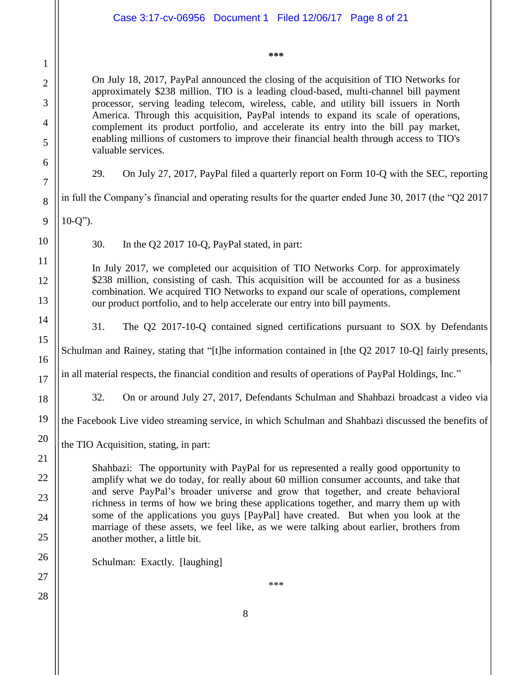|                     | Case 3:17-cv-06956 Document 1 Filed 12/06/17 Page 8 of 21                                                                                                                                                                                                                                              |  |  |
|---------------------|--------------------------------------------------------------------------------------------------------------------------------------------------------------------------------------------------------------------------------------------------------------------------------------------------------|--|--|
|                     | ***                                                                                                                                                                                                                                                                                                    |  |  |
| $\mathbf{1}$        |                                                                                                                                                                                                                                                                                                        |  |  |
| $\overline{2}$<br>3 | On July 18, 2017, PayPal announced the closing of the acquisition of TIO Networks for<br>approximately \$238 million. TIO is a leading cloud-based, multi-channel bill payment<br>processor, serving leading telecom, wireless, cable, and utility bill issuers in North                               |  |  |
| 4                   | America. Through this acquisition, PayPal intends to expand its scale of operations,                                                                                                                                                                                                                   |  |  |
| 5                   | complement its product portfolio, and accelerate its entry into the bill pay market,<br>enabling millions of customers to improve their financial health through access to TIO's<br>valuable services.                                                                                                 |  |  |
| 6<br>7              | On July 27, 2017, PayPal filed a quarterly report on Form 10-Q with the SEC, reporting<br>29.                                                                                                                                                                                                          |  |  |
| 8                   | in full the Company's financial and operating results for the quarter ended June 30, 2017 (the "Q2 2017                                                                                                                                                                                                |  |  |
| 9                   | $10-Q$ ").                                                                                                                                                                                                                                                                                             |  |  |
| 10                  | 30.<br>In the Q2 2017 10-Q, PayPal stated, in part:                                                                                                                                                                                                                                                    |  |  |
| 11                  |                                                                                                                                                                                                                                                                                                        |  |  |
| 12                  | In July 2017, we completed our acquisition of TIO Networks Corp. for approximately<br>\$238 million, consisting of cash. This acquisition will be accounted for as a business<br>combination. We acquired TIO Networks to expand our scale of operations, complement                                   |  |  |
| 13                  | our product portfolio, and to help accelerate our entry into bill payments.                                                                                                                                                                                                                            |  |  |
| 14                  | 31.<br>The Q2 2017-10-Q contained signed certifications pursuant to SOX by Defendants                                                                                                                                                                                                                  |  |  |
| 15<br>16            | Schulman and Rainey, stating that "[t]he information contained in [the Q2 2017 10-Q] fairly presents,                                                                                                                                                                                                  |  |  |
| 17                  | in all material respects, the financial condition and results of operations of PayPal Holdings, Inc."                                                                                                                                                                                                  |  |  |
| 18                  | 32.<br>On or around July 27, 2017, Defendants Schulman and Shahbazi broadcast a video via                                                                                                                                                                                                              |  |  |
| 19                  | the Facebook Live video streaming service, in which Schulman and Shahbazi discussed the benefits of                                                                                                                                                                                                    |  |  |
| 20                  | the TIO Acquisition, stating, in part:                                                                                                                                                                                                                                                                 |  |  |
| 21<br>22            | Shahbazi: The opportunity with PayPal for us represented a really good opportunity to                                                                                                                                                                                                                  |  |  |
| 23                  | amplify what we do today, for really about 60 million consumer accounts, and take that<br>and serve PayPal's broader universe and grow that together, and create behavioral                                                                                                                            |  |  |
| 24                  | richness in terms of how we bring these applications together, and marry them up with<br>some of the applications you guys [PayPal] have created. But when you look at the<br>marriage of these assets, we feel like, as we were talking about earlier, brothers from<br>another mother, a little bit. |  |  |
| 25                  |                                                                                                                                                                                                                                                                                                        |  |  |
| 26                  | Schulman: Exactly. [laughing]                                                                                                                                                                                                                                                                          |  |  |
| 27                  | ***                                                                                                                                                                                                                                                                                                    |  |  |
| 28                  |                                                                                                                                                                                                                                                                                                        |  |  |
|                     | 8                                                                                                                                                                                                                                                                                                      |  |  |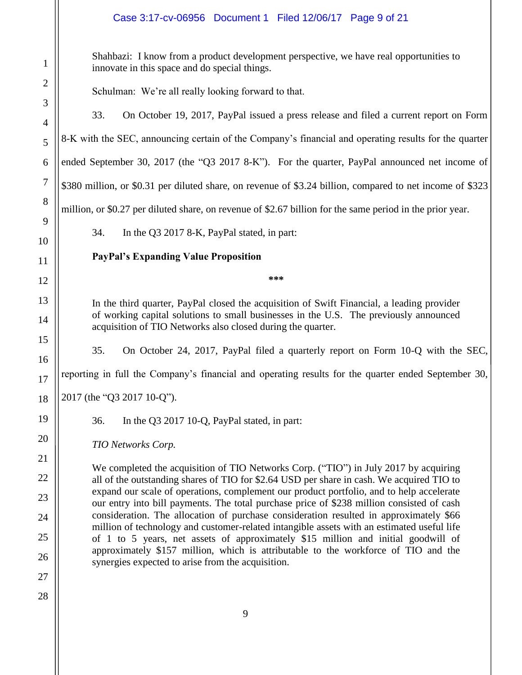#### Case 3:17-cv-06956 Document 1 Filed 12/06/17 Page 9 of 21

Shahbazi: I know from a product development perspective, we have real opportunities to innovate in this space and do special things.

Schulman: We're all really looking forward to that.

33. On October 19, 2017, PayPal issued a press release and filed a current report on Form

8-K with the SEC, announcing certain of the Company's financial and operating results for the quarter

ended September 30, 2017 (the "Q3 2017 8-K"). For the quarter, PayPal announced net income of

\$380 million, or \$0.31 per diluted share, on revenue of \$3.24 billion, compared to net income of \$323

million, or \$0.27 per diluted share, on revenue of \$2.67 billion for the same period in the prior year.

34. In the Q3 2017 8-K, PayPal stated, in part:

# **PayPal's Expanding Value Proposition**

**\*\*\***

In the third quarter, PayPal closed the acquisition of Swift Financial, a leading provider of working capital solutions to small businesses in the U.S. The previously announced acquisition of TIO Networks also closed during the quarter.

35. On October 24, 2017, PayPal filed a quarterly report on Form 10-Q with the SEC,

reporting in full the Company's financial and operating results for the quarter ended September 30,

2017 (the "Q3 2017 10-Q").

36. In the Q3 2017 10-Q, PayPal stated, in part:

*TIO Networks Corp.*

We completed the acquisition of TIO Networks Corp. ("TIO") in July 2017 by acquiring all of the outstanding shares of TIO for \$2.64 USD per share in cash. We acquired TIO to expand our scale of operations, complement our product portfolio, and to help accelerate our entry into bill payments. The total purchase price of \$238 million consisted of cash consideration. The allocation of purchase consideration resulted in approximately \$66 million of technology and customer-related intangible assets with an estimated useful life of 1 to 5 years, net assets of approximately \$15 million and initial goodwill of approximately \$157 million, which is attributable to the workforce of TIO and the synergies expected to arise from the acquisition.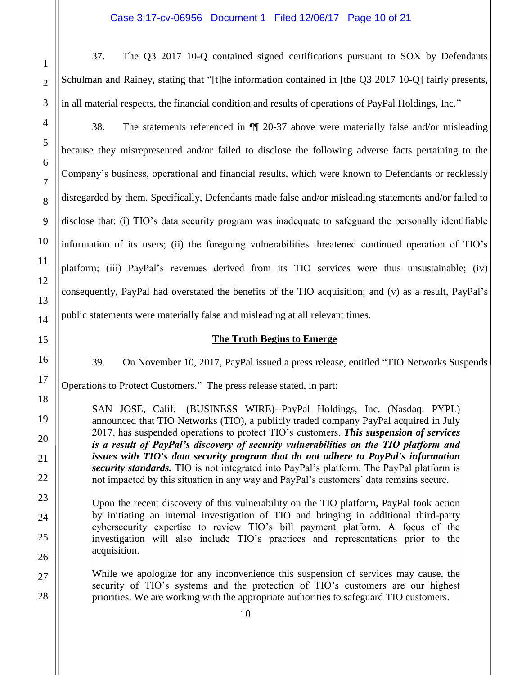37. The Q3 2017 10-Q contained signed certifications pursuant to SOX by Defendants Schulman and Rainey, stating that "[t]he information contained in [the Q3 2017 10-Q] fairly presents, in all material respects, the financial condition and results of operations of PayPal Holdings, Inc."

38. The statements referenced in ¶¶ 20-37 above were materially false and/or misleading because they misrepresented and/or failed to disclose the following adverse facts pertaining to the Company's business, operational and financial results, which were known to Defendants or recklessly disregarded by them. Specifically, Defendants made false and/or misleading statements and/or failed to disclose that: (i) TIO's data security program was inadequate to safeguard the personally identifiable information of its users; (ii) the foregoing vulnerabilities threatened continued operation of TIO's platform; (iii) PayPal's revenues derived from its TIO services were thus unsustainable; (iv) consequently, PayPal had overstated the benefits of the TIO acquisition; and (v) as a result, PayPal's public statements were materially false and misleading at all relevant times.

#### **The Truth Begins to Emerge**

39. On November 10, 2017, PayPal issued a press release, entitled "TIO Networks Suspends Operations to Protect Customers." The press release stated, in part:

SAN JOSE, Calif.—(BUSINESS WIRE)--PayPal Holdings, Inc. (Nasdaq: PYPL) announced that TIO Networks (TIO), a publicly traded company PayPal acquired in July 2017, has suspended operations to protect TIO's customers. *This suspension of services is a result of PayPal's discovery of security vulnerabilities on the TIO platform and issues with TIO's data security program that do not adhere to PayPal's information security standards.* TIO is not integrated into PayPal's platform. The PayPal platform is not impacted by this situation in any way and PayPal's customers' data remains secure.

Upon the recent discovery of this vulnerability on the TIO platform, PayPal took action by initiating an internal investigation of TIO and bringing in additional third-party cybersecurity expertise to review TIO's bill payment platform. A focus of the investigation will also include TIO's practices and representations prior to the acquisition.

While we apologize for any inconvenience this suspension of services may cause, the security of TIO's systems and the protection of TIO's customers are our highest priorities. We are working with the appropriate authorities to safeguard TIO customers.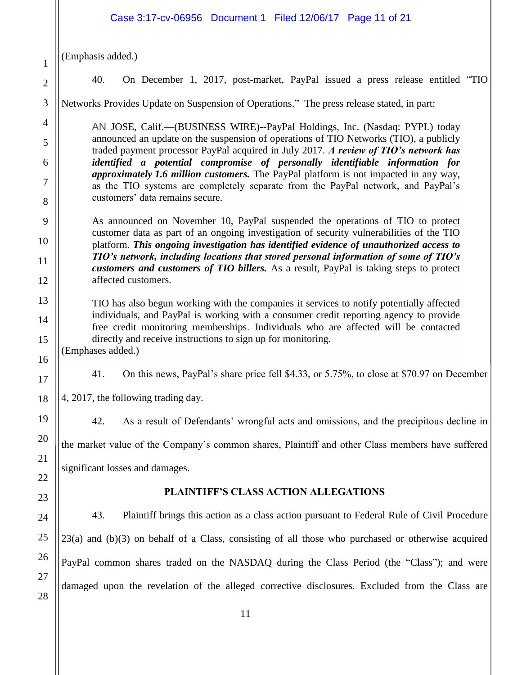# Case 3:17-cv-06956 Document 1 Filed 12/06/17 Page 11 of 21

(Emphasis added.)

2

3

4

5

6

7

8

9

10

11

12

13

14

15

16

17

18

19

20

21

22

23

24

25

1

40. On December 1, 2017, post-market, PayPal issued a press release entitled "TIO

Networks Provides Update on Suspension of Operations." The press release stated, in part:

AN JOSE, Calif.—(BUSINESS WIRE)--PayPal Holdings, Inc. (Nasdaq: PYPL) today announced an update on the suspension of operations of TIO Networks (TIO), a publicly traded payment processor PayPal acquired in July 2017. *A review of TIO's network has identified a potential compromise of personally identifiable information for approximately 1.6 million customers.* The PayPal platform is not impacted in any way, as the TIO systems are completely separate from the PayPal network, and PayPal's customers' data remains secure.

As announced on November 10, PayPal suspended the operations of TIO to protect customer data as part of an ongoing investigation of security vulnerabilities of the TIO platform. *This ongoing investigation has identified evidence of unauthorized access to TIO's network, including locations that stored personal information of some of TIO's customers and customers of TIO billers.* As a result, PayPal is taking steps to protect affected customers.

TIO has also begun working with the companies it services to notify potentially affected individuals, and PayPal is working with a consumer credit reporting agency to provide free credit monitoring memberships. Individuals who are affected will be contacted directly and receive instructions to sign up for monitoring.

(Emphases added.)

41. On this news, PayPal's share price fell \$4.33, or 5.75%, to close at \$70.97 on December

4, 2017, the following trading day.

42. As a result of Defendants' wrongful acts and omissions, and the precipitous decline in the market value of the Company's common shares, Plaintiff and other Class members have suffered significant losses and damages.

#### **PLAINTIFF'S CLASS ACTION ALLEGATIONS**

43. Plaintiff brings this action as a class action pursuant to Federal Rule of Civil Procedure 23(a) and (b)(3) on behalf of a Class, consisting of all those who purchased or otherwise acquired PayPal common shares traded on the NASDAQ during the Class Period (the "Class"); and were damaged upon the revelation of the alleged corrective disclosures. Excluded from the Class are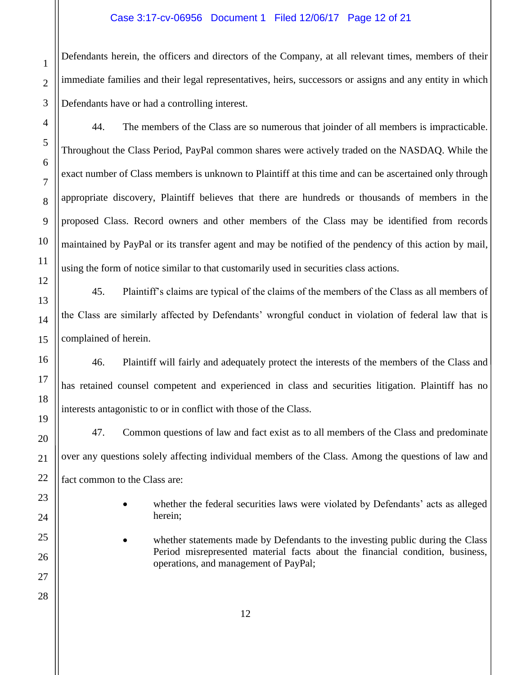#### Case 3:17-cv-06956 Document 1 Filed 12/06/17 Page 12 of 21

Defendants herein, the officers and directors of the Company, at all relevant times, members of their immediate families and their legal representatives, heirs, successors or assigns and any entity in which Defendants have or had a controlling interest.

44. The members of the Class are so numerous that joinder of all members is impracticable. Throughout the Class Period, PayPal common shares were actively traded on the NASDAQ. While the exact number of Class members is unknown to Plaintiff at this time and can be ascertained only through appropriate discovery, Plaintiff believes that there are hundreds or thousands of members in the proposed Class. Record owners and other members of the Class may be identified from records maintained by PayPal or its transfer agent and may be notified of the pendency of this action by mail, using the form of notice similar to that customarily used in securities class actions.

45. Plaintiff's claims are typical of the claims of the members of the Class as all members of the Class are similarly affected by Defendants' wrongful conduct in violation of federal law that is complained of herein.

46. Plaintiff will fairly and adequately protect the interests of the members of the Class and has retained counsel competent and experienced in class and securities litigation. Plaintiff has no interests antagonistic to or in conflict with those of the Class.

47. Common questions of law and fact exist as to all members of the Class and predominate over any questions solely affecting individual members of the Class. Among the questions of law and fact common to the Class are:

- whether the federal securities laws were violated by Defendants' acts as alleged herein;
- whether statements made by Defendants to the investing public during the Class Period misrepresented material facts about the financial condition, business, operations, and management of PayPal;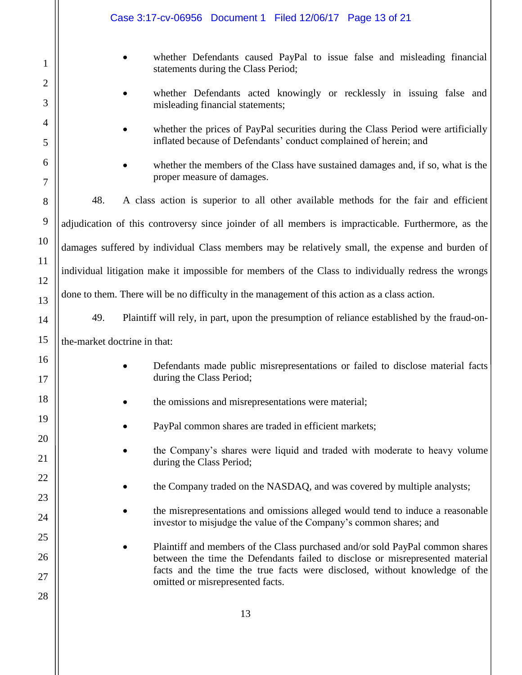|                     | Case 3:17-cv-06956 Document 1 Filed 12/06/17 Page 13 of 21                                                |                                                                                                                                                                |  |  |
|---------------------|-----------------------------------------------------------------------------------------------------------|----------------------------------------------------------------------------------------------------------------------------------------------------------------|--|--|
| 1                   |                                                                                                           | whether Defendants caused PayPal to issue false and misleading financial<br>statements during the Class Period;                                                |  |  |
| $\overline{2}$<br>3 | whether Defendants acted knowingly or recklessly in issuing false and<br>misleading financial statements; |                                                                                                                                                                |  |  |
| 4<br>5              |                                                                                                           | whether the prices of PayPal securities during the Class Period were artificially<br>inflated because of Defendants' conduct complained of herein; and         |  |  |
| 6<br>7              |                                                                                                           | whether the members of the Class have sustained damages and, if so, what is the<br>proper measure of damages.                                                  |  |  |
| 8                   | 48.                                                                                                       | A class action is superior to all other available methods for the fair and efficient                                                                           |  |  |
| 9                   | adjudication of this controversy since joinder of all members is impracticable. Furthermore, as the       |                                                                                                                                                                |  |  |
| 10                  | damages suffered by individual Class members may be relatively small, the expense and burden of           |                                                                                                                                                                |  |  |
| 11<br>12            | individual litigation make it impossible for members of the Class to individually redress the wrongs      |                                                                                                                                                                |  |  |
| 13                  |                                                                                                           | done to them. There will be no difficulty in the management of this action as a class action.                                                                  |  |  |
| 14                  | 49.                                                                                                       | Plaintiff will rely, in part, upon the presumption of reliance established by the fraud-on-                                                                    |  |  |
| 15                  | the-market doctrine in that:                                                                              |                                                                                                                                                                |  |  |
| 16<br>17            |                                                                                                           | Defendants made public misrepresentations or failed to disclose material facts<br>during the Class Period;                                                     |  |  |
| 18                  |                                                                                                           | the omissions and misrepresentations were material;                                                                                                            |  |  |
| 19                  |                                                                                                           | PayPal common shares are traded in efficient markets;                                                                                                          |  |  |
| 20<br>21            |                                                                                                           | the Company's shares were liquid and traded with moderate to heavy volume<br>during the Class Period;                                                          |  |  |
| 22                  |                                                                                                           | the Company traded on the NASDAQ, and was covered by multiple analysts;                                                                                        |  |  |
| 23                  |                                                                                                           | the misrepresentations and omissions alleged would tend to induce a reasonable                                                                                 |  |  |
| 24<br>25            |                                                                                                           | investor to misjudge the value of the Company's common shares; and                                                                                             |  |  |
| 26                  |                                                                                                           | Plaintiff and members of the Class purchased and/or sold PayPal common shares<br>between the time the Defendants failed to disclose or misrepresented material |  |  |
| 27                  |                                                                                                           | facts and the time the true facts were disclosed, without knowledge of the<br>omitted or misrepresented facts.                                                 |  |  |
| 28                  |                                                                                                           |                                                                                                                                                                |  |  |
|                     |                                                                                                           | 13                                                                                                                                                             |  |  |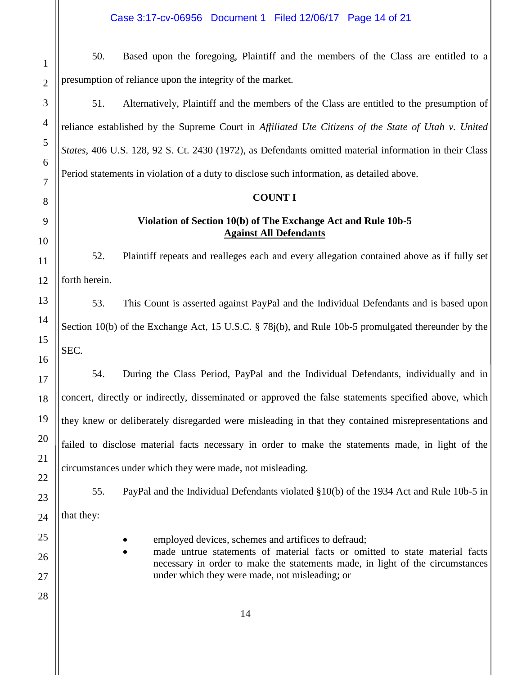50. Based upon the foregoing, Plaintiff and the members of the Class are entitled to a presumption of reliance upon the integrity of the market.

51. Alternatively, Plaintiff and the members of the Class are entitled to the presumption of reliance established by the Supreme Court in *Affiliated Ute Citizens of the State of Utah v. United States*, 406 U.S. 128, 92 S. Ct. 2430 (1972), as Defendants omitted material information in their Class Period statements in violation of a duty to disclose such information, as detailed above.

#### **COUNT I**

#### **Violation of Section 10(b) of The Exchange Act and Rule 10b-5 Against All Defendants**

52. Plaintiff repeats and realleges each and every allegation contained above as if fully set forth herein.

53. This Count is asserted against PayPal and the Individual Defendants and is based upon Section 10(b) of the Exchange Act, 15 U.S.C. § 78j(b), and Rule 10b-5 promulgated thereunder by the SEC.

54. During the Class Period, PayPal and the Individual Defendants, individually and in concert, directly or indirectly, disseminated or approved the false statements specified above, which they knew or deliberately disregarded were misleading in that they contained misrepresentations and failed to disclose material facts necessary in order to make the statements made, in light of the circumstances under which they were made, not misleading.

55. PayPal and the Individual Defendants violated §10(b) of the 1934 Act and Rule 10b-5 in that they:

- employed devices, schemes and artifices to defraud;
- made untrue statements of material facts or omitted to state material facts necessary in order to make the statements made, in light of the circumstances under which they were made, not misleading; or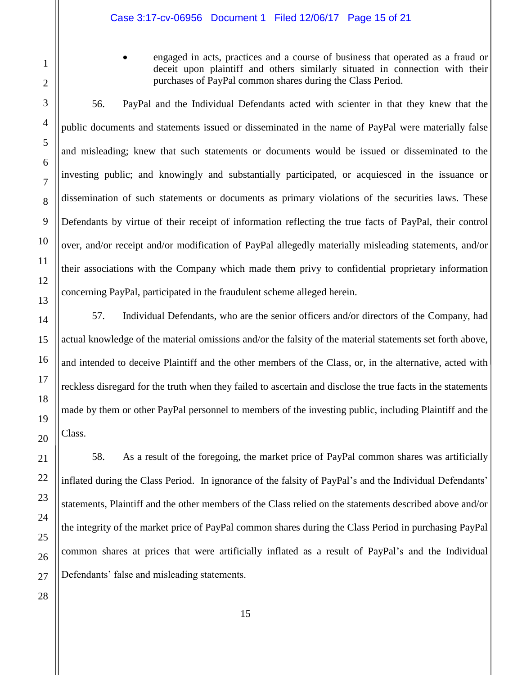engaged in acts, practices and a course of business that operated as a fraud or deceit upon plaintiff and others similarly situated in connection with their purchases of PayPal common shares during the Class Period.

56. PayPal and the Individual Defendants acted with scienter in that they knew that the public documents and statements issued or disseminated in the name of PayPal were materially false and misleading; knew that such statements or documents would be issued or disseminated to the investing public; and knowingly and substantially participated, or acquiesced in the issuance or dissemination of such statements or documents as primary violations of the securities laws. These Defendants by virtue of their receipt of information reflecting the true facts of PayPal, their control over, and/or receipt and/or modification of PayPal allegedly materially misleading statements, and/or their associations with the Company which made them privy to confidential proprietary information concerning PayPal, participated in the fraudulent scheme alleged herein.

57. Individual Defendants, who are the senior officers and/or directors of the Company, had actual knowledge of the material omissions and/or the falsity of the material statements set forth above, and intended to deceive Plaintiff and the other members of the Class, or, in the alternative, acted with reckless disregard for the truth when they failed to ascertain and disclose the true facts in the statements made by them or other PayPal personnel to members of the investing public, including Plaintiff and the Class.

58. As a result of the foregoing, the market price of PayPal common shares was artificially inflated during the Class Period. In ignorance of the falsity of PayPal's and the Individual Defendants' statements, Plaintiff and the other members of the Class relied on the statements described above and/or the integrity of the market price of PayPal common shares during the Class Period in purchasing PayPal common shares at prices that were artificially inflated as a result of PayPal's and the Individual Defendants' false and misleading statements.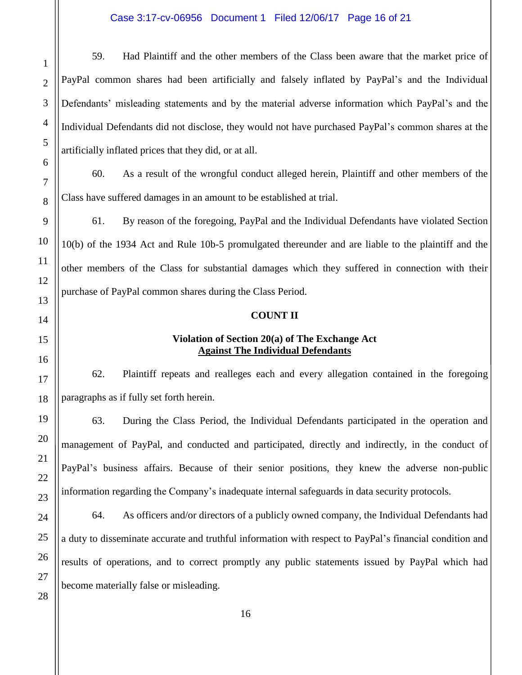#### Case 3:17-cv-06956 Document 1 Filed 12/06/17 Page 16 of 21

59. Had Plaintiff and the other members of the Class been aware that the market price of PayPal common shares had been artificially and falsely inflated by PayPal's and the Individual Defendants' misleading statements and by the material adverse information which PayPal's and the Individual Defendants did not disclose, they would not have purchased PayPal's common shares at the artificially inflated prices that they did, or at all.

60. As a result of the wrongful conduct alleged herein, Plaintiff and other members of the Class have suffered damages in an amount to be established at trial.

61. By reason of the foregoing, PayPal and the Individual Defendants have violated Section 10(b) of the 1934 Act and Rule 10b-5 promulgated thereunder and are liable to the plaintiff and the other members of the Class for substantial damages which they suffered in connection with their purchase of PayPal common shares during the Class Period.

#### **COUNT II**

#### **Violation of Section 20(a) of The Exchange Act Against The Individual Defendants**

62. Plaintiff repeats and realleges each and every allegation contained in the foregoing paragraphs as if fully set forth herein.

63. During the Class Period, the Individual Defendants participated in the operation and management of PayPal, and conducted and participated, directly and indirectly, in the conduct of PayPal's business affairs. Because of their senior positions, they knew the adverse non-public information regarding the Company's inadequate internal safeguards in data security protocols.

64. As officers and/or directors of a publicly owned company, the Individual Defendants had a duty to disseminate accurate and truthful information with respect to PayPal's financial condition and results of operations, and to correct promptly any public statements issued by PayPal which had become materially false or misleading.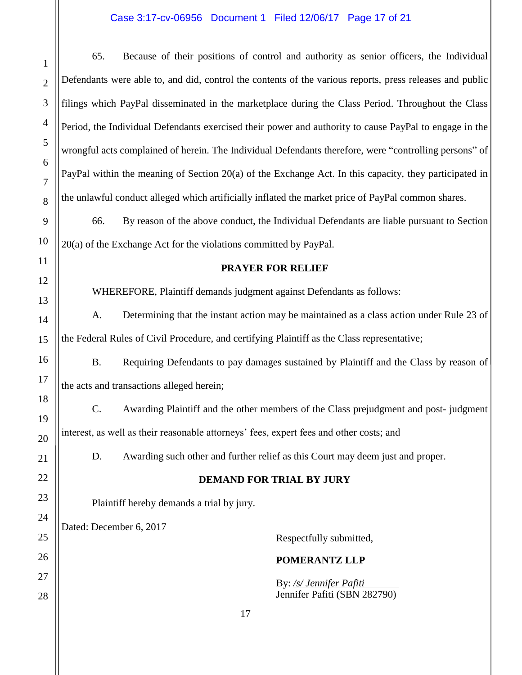# Case 3:17-cv-06956 Document 1 Filed 12/06/17 Page 17 of 21

| $\mathbf{1}$   | 65.                                                                                                      | Because of their positions of control and authority as senior officers, the Individual                 |  |
|----------------|----------------------------------------------------------------------------------------------------------|--------------------------------------------------------------------------------------------------------|--|
| $\overline{2}$ | Defendants were able to, and did, control the contents of the various reports, press releases and public |                                                                                                        |  |
| 3              | filings which PayPal disseminated in the marketplace during the Class Period. Throughout the Class       |                                                                                                        |  |
| 4              | Period, the Individual Defendants exercised their power and authority to cause PayPal to engage in the   |                                                                                                        |  |
| 5              |                                                                                                          | wrongful acts complained of herein. The Individual Defendants therefore, were "controlling persons" of |  |
| 6              | PayPal within the meaning of Section 20(a) of the Exchange Act. In this capacity, they participated in   |                                                                                                        |  |
| 7<br>8         | the unlawful conduct alleged which artificially inflated the market price of PayPal common shares.       |                                                                                                        |  |
| 9              | By reason of the above conduct, the Individual Defendants are liable pursuant to Section<br>66.          |                                                                                                        |  |
| 10             |                                                                                                          | 20(a) of the Exchange Act for the violations committed by PayPal.                                      |  |
| 11             |                                                                                                          | <b>PRAYER FOR RELIEF</b>                                                                               |  |
| 12             | WHEREFORE, Plaintiff demands judgment against Defendants as follows:                                     |                                                                                                        |  |
| 13<br>14       | Determining that the instant action may be maintained as a class action under Rule 23 of<br>A.           |                                                                                                        |  |
| 15             | the Federal Rules of Civil Procedure, and certifying Plaintiff as the Class representative;              |                                                                                                        |  |
| 16             | <b>B.</b><br>Requiring Defendants to pay damages sustained by Plaintiff and the Class by reason of       |                                                                                                        |  |
| 17             | the acts and transactions alleged herein;                                                                |                                                                                                        |  |
| 18             | C.<br>Awarding Plaintiff and the other members of the Class prejudgment and post-judgment                |                                                                                                        |  |
| 19             | interest, as well as their reasonable attorneys' fees, expert fees and other costs; and                  |                                                                                                        |  |
| 20             |                                                                                                          |                                                                                                        |  |
| 21<br>22       | Awarding such other and further relief as this Court may deem just and proper.<br>D.                     |                                                                                                        |  |
| 23             | <b>DEMAND FOR TRIAL BY JURY</b>                                                                          |                                                                                                        |  |
| 24             | Plaintiff hereby demands a trial by jury.                                                                |                                                                                                        |  |
| 25             | Dated: December 6, 2017                                                                                  | Respectfully submitted,                                                                                |  |
| 26             |                                                                                                          | POMERANTZ LLP                                                                                          |  |
| 27             |                                                                                                          | By: /s/ Jennifer Pafiti                                                                                |  |
| 28             |                                                                                                          | Jennifer Pafiti (SBN 282790)                                                                           |  |
|                |                                                                                                          | 17                                                                                                     |  |

 $\mathbb{I}$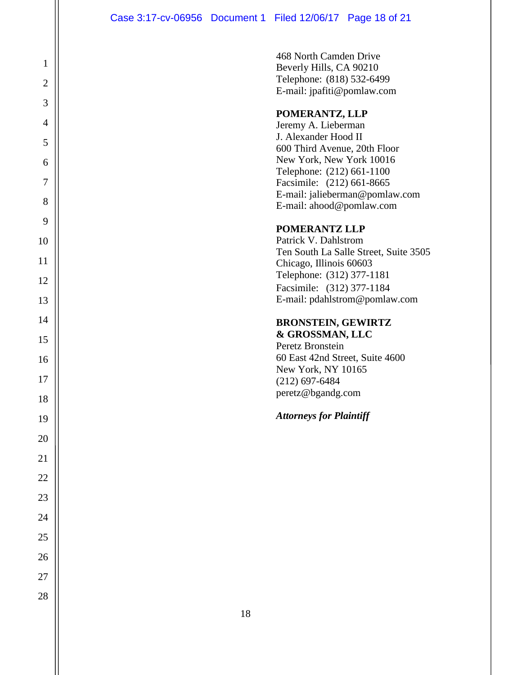468 North Camden Drive Beverly Hills, CA 90210 Telephone: (818) 532-6499 E-mail: jpafiti@pomlaw.com

#### **POMERANTZ, LLP**

Jeremy A. Lieberman J. Alexander Hood II 600 Third Avenue, 20th Floor New York, New York 10016 Telephone: (212) 661-1100 Facsimile: (212) 661-8665 E-mail: jalieberman@pomlaw.com E-mail: ahood@pomlaw.com

#### **POMERANTZ LLP**

Patrick V. Dahlstrom Ten South La Salle Street, Suite 3505 Chicago, Illinois 60603 Telephone: (312) 377-1181 Facsimile: (312) 377-1184 E-mail: pdahlstrom@pomlaw.com

#### **BRONSTEIN, GEWIRTZ & GROSSMAN, LLC**

Peretz Bronstein 60 East 42nd Street, Suite 4600 New York, NY 10165 (212) 697-6484 peretz@bgandg.com

#### *Attorneys for Plaintiff*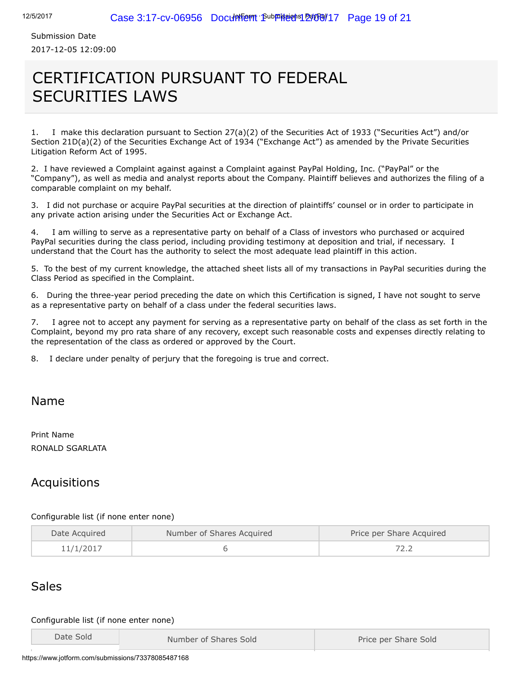Submission Date 2017-12-05 12:09:00

# CERTIFICATION PURSUANT TO FEDERAL SECURITIES LAWS

1. I make this declaration pursuant to Section 27(a)(2) of the Securities Act of 1933 ("Securities Act") and/or Section 21D(a)(2) of the Securities Exchange Act of 1934 ("Exchange Act") as amended by the Private Securities Litigation Reform Act of 1995.

2. I have reviewed a Complaint against against a Complaint against PayPal Holding, Inc. ("PayPal" or the "Company"), as well as media and analyst reports about the Company. Plaintiff believes and authorizes the filing of a comparable complaint on my behalf.

3. I did not purchase or acquire PayPal securities at the direction of plaintiffs' counsel or in order to participate in any private action arising under the Securities Act or Exchange Act.

4. I am willing to serve as a representative party on behalf of a Class of investors who purchased or acquired PayPal securities during the class period, including providing testimony at deposition and trial, if necessary. I understand that the Court has the authority to select the most adequate lead plaintiff in this action.

5. To the best of my current knowledge, the attached sheet lists all of my transactions in PayPal securities during the Class Period as specified in the Complaint.

6. During the three-year period preceding the date on which this Certification is signed, I have not sought to serve as a representative party on behalf of a class under the federal securities laws.

7. I agree not to accept any payment for serving as a representative party on behalf of the class as set forth in the Complaint, beyond my pro rata share of any recovery, except such reasonable costs and expenses directly relating to the representation of the class as ordered or approved by the Court.

8. I declare under penalty of perjury that the foregoing is true and correct.

#### Name

Print Name RONALD SGARLATA

## Acquisitions

#### Configurable list (if none enter none)

| Date Acquired | Number of Shares Acquired | Price per Share Acquired |  |
|---------------|---------------------------|--------------------------|--|
| 11/1/2017     |                           |                          |  |

# Sales

#### Configurable list (if none enter none)

| Date Sold | Number of Shares Sold | Price per Share Sold |
|-----------|-----------------------|----------------------|
|           |                       |                      |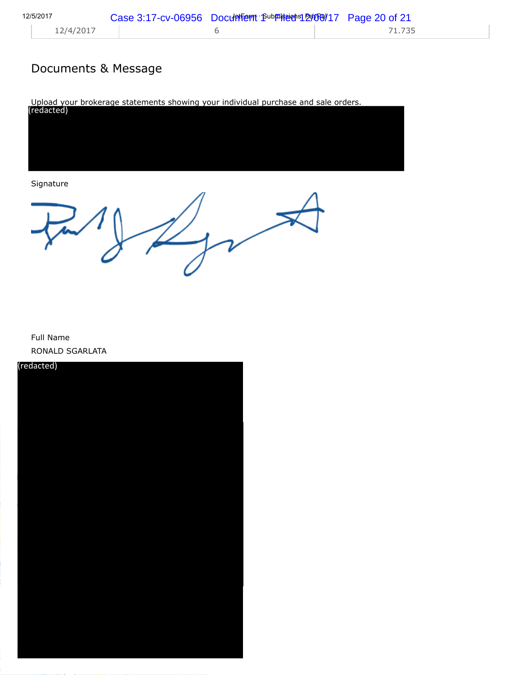# Documents & Message

Upload your brokerage statements showing your individual purchase and sale orders. (redacted)

Signature

Full Name RONALD SGARLATA